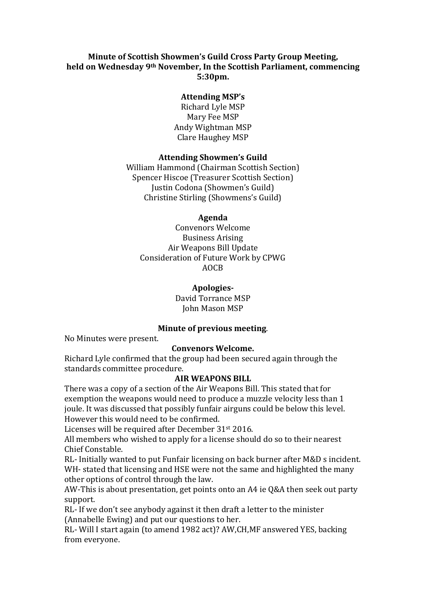## **Minute of Scottish Showmen's Guild Cross Party Group Meeting, held on Wednesday 9th November, In the Scottish Parliament, commencing 5:30pm.**

#### **Attending MSP's**

Richard Lyle MSP Mary Fee MSP Andy Wightman MSP Clare Haughey MSP

#### **Attending Showmen's Guild**

William Hammond (Chairman Scottish Section) Spencer Hiscoe (Treasurer Scottish Section) Justin Codona (Showmen's Guild) Christine Stirling (Showmens's Guild)

#### **Agenda**

Convenors Welcome Business Arising Air Weapons Bill Update Consideration of Future Work by CPWG AOCB

#### **Apologies-**

#### David Torrance MSP John Mason MSP

### **Minute of previous meeting**.

No Minutes were present.

### **Convenors Welcome.**

Richard Lyle confirmed that the group had been secured again through the standards committee procedure.

### **AIR WEAPONS BILL**

There was a copy of a section of the Air Weapons Bill. This stated that for exemption the weapons would need to produce a muzzle velocity less than 1 joule. It was discussed that possibly funfair airguns could be below this level. However this would need to be confirmed.

Licenses will be required after December 31st 2016.

All members who wished to apply for a license should do so to their nearest Chief Constable.

RL- Initially wanted to put Funfair licensing on back burner after M&D s incident. WH- stated that licensing and HSE were not the same and highlighted the many other options of control through the law.

AW-This is about presentation, get points onto an A4 ie Q&A then seek out party support.

RL- If we don't see anybody against it then draft a letter to the minister (Annabelle Ewing) and put our questions to her.

RL- Will I start again (to amend 1982 act)? AW,CH,MF answered YES, backing from everyone.